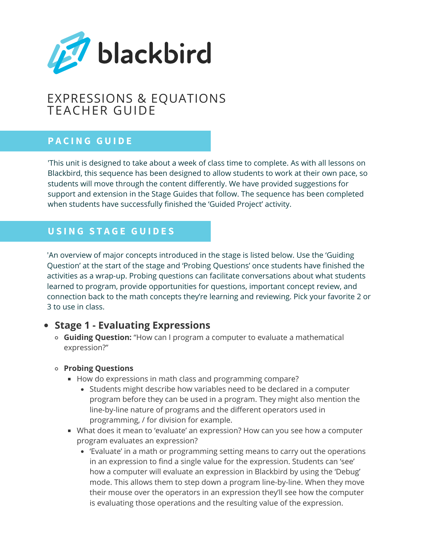

# EXPRESSIONS & EQUATIONS TEACHER GUIDE

# **P A C I N G G U I D E**

'This unit is designed to take about a week of class time to complete. As with all lessons on Blackbird, this sequence has been designed to allow students to work at their own pace, so students will move through the content differently. We have provided suggestions for support and extension in the Stage Guides that follow. The sequence has been completed when students have successfully finished the 'Guided Project' activity.

# **U S I N G S T A G E G U I D E S**

'An overview of major concepts introduced in the stage is listed below. Use the 'Guiding Question' at the start of the stage and 'Probing Questions' once students have finished the activities as a wrap-up. Probing questions can facilitate conversations about what students learned to program, provide opportunities for questions, important concept review, and connection back to the math concepts they're learning and reviewing. Pick your favorite 2 or 3 to use in class.

# **Stage 1 - Evaluating Expressions**

**Guiding Question:** "How can I program a computer to evaluate a mathematical expression?"

### **Probing Questions**

- How do expressions in math class and programming compare?
	- Students might describe how variables need to be declared in a computer program before they can be used in a program. They might also mention the line-by-line nature of programs and the different operators used in programming, / for division for example.
- What does it mean to 'evaluate' an expression? How can you see how a computer program evaluates an expression?
	- 'Evaluate' in a math or programming setting means to carry out the operations in an expression to find a single value for the expression. Students can 'see' how a computer will evaluate an expression in Blackbird by using the 'Debug' mode. This allows them to step down a program line-by-line. When they move their mouse over the operators in an expression they'll see how the computer is evaluating those operations and the resulting value of the expression.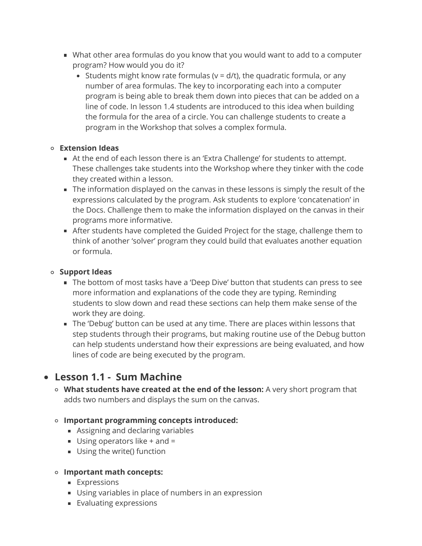- What other area formulas do you know that you would want to add to a computer program? How would you do it?
	- Students might know rate formulas ( $v = d/t$ ), the quadratic formula, or any number of area formulas. The key to incorporating each into a computer program is being able to break them down into pieces that can be added on a line of code. In lesson 1.4 students are introduced to this idea when building the formula for the area of a circle. You can challenge students to create a program in the Workshop that solves a complex formula.

### **Extension Ideas**

- At the end of each lesson there is an 'Extra Challenge' for students to attempt. These challenges take students into the Workshop where they tinker with the code they created within a lesson.
- The information displayed on the canvas in these lessons is simply the result of the expressions calculated by the program. Ask students to explore 'concatenation' in the Docs. Challenge them to make the information displayed on the canvas in their programs more informative.
- After students have completed the Guided Project for the stage, challenge them to think of another 'solver' program they could build that evaluates another equation or formula.

### **Support Ideas**

- The bottom of most tasks have a 'Deep Dive' button that students can press to see more information and explanations of the code they are typing. Reminding students to slow down and read these sections can help them make sense of the work they are doing.
- The 'Debug' button can be used at any time. There are places within lessons that step students through their programs, but making routine use of the Debug button can help students understand how their expressions are being evaluated, and how lines of code are being executed by the program.

# **Lesson 1.1 - Sum Machine**

**What students have created at the end of the lesson:** A very short program that adds two numbers and displays the sum on the canvas.

### **Important programming concepts introduced:**

- Assigning and declaring variables
- Using operators like  $+$  and  $=$
- **Using the write() function**

### **Important math concepts:**

- **Expressions**
- Using variables in place of numbers in an expression
- **Evaluating expressions**